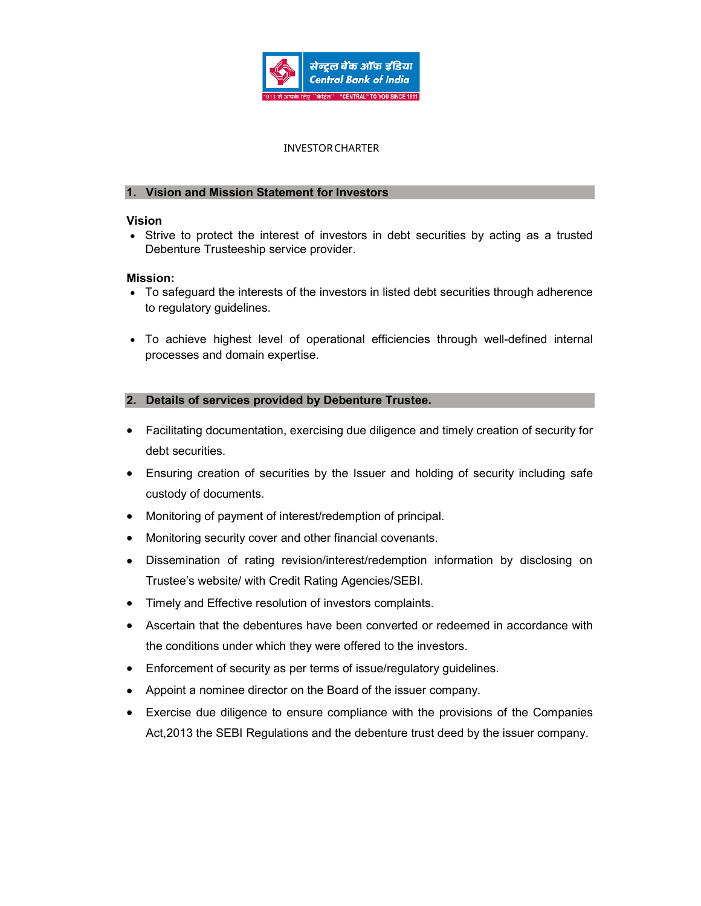

## INVESTOR CHARTER **EXECUTE TRUSTEES**

#### 1. Vision and Mission Statement for Investors

#### Vision

• Strive to protect the interest of investors in debt securities by acting as a trusted Debenture Trusteeship service provider.

#### Mission:

- To safeguard the interests of the investors in listed debt securities through adherence to regulatory guidelines.
- To achieve highest level of operational efficiencies through well-defined internal processes and domain expertise.

### 2. Details of services provided by Debenture Trustee.

- Facilitating documentation, exercising due diligence and timely creation of security for debt securities.
- Ensuring creation of securities by the Issuer and holding of security including safe custody of documents.
- Monitoring of payment of interest/redemption of principal.
- Monitoring security cover and other financial covenants.
- Dissemination of rating revision/interest/redemption information by disclosing on Trustee's website/ with Credit Rating Agencies/SEBI.
- Timely and Effective resolution of investors complaints.
- Ascertain that the debentures have been converted or redeemed in accordance with the conditions under which they were offered to the investors.
- Enforcement of security as per terms of issue/regulatory guidelines.
- Appoint a nominee director on the Board of the issuer company.
- Exercise due diligence to ensure compliance with the provisions of the Companies Act,2013 the SEBI Regulations and the debenture trust deed by the issuer company.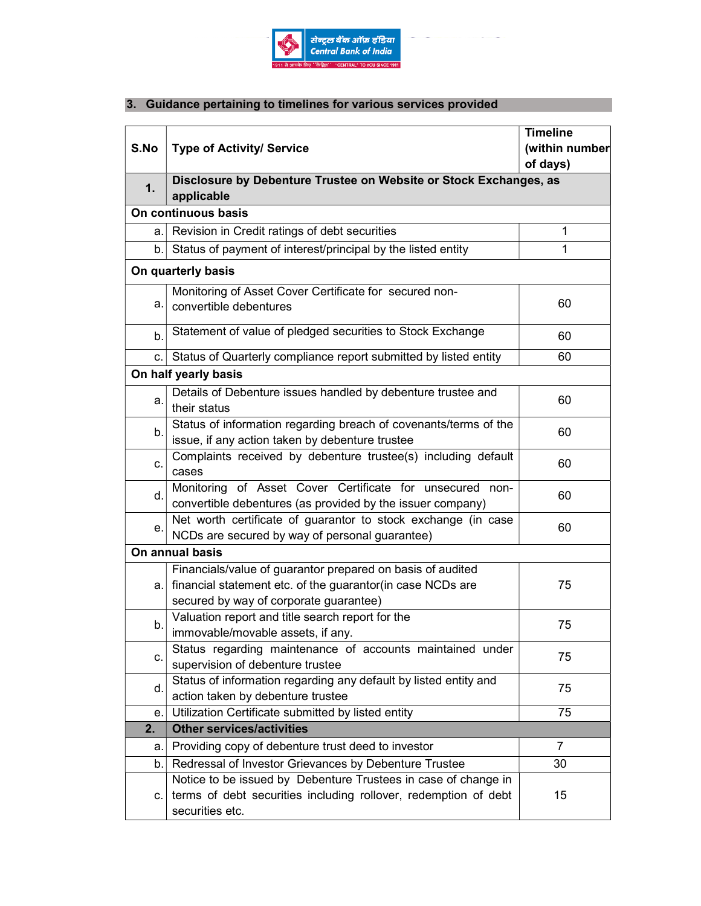

# 3. Guidance pertaining to timelines for various services provided

| S.No               | <b>Type of Activity/ Service</b>                                                                                                                                   | <b>Timeline</b><br>(within number<br>of days) |
|--------------------|--------------------------------------------------------------------------------------------------------------------------------------------------------------------|-----------------------------------------------|
| 1.                 | Disclosure by Debenture Trustee on Website or Stock Exchanges, as<br>applicable                                                                                    |                                               |
|                    | On continuous basis                                                                                                                                                |                                               |
| a.l                | Revision in Credit ratings of debt securities                                                                                                                      | 1                                             |
| $\mathsf{b}$ .     | Status of payment of interest/principal by the listed entity                                                                                                       | 1                                             |
| On quarterly basis |                                                                                                                                                                    |                                               |
| а.                 | Monitoring of Asset Cover Certificate for secured non-<br>convertible debentures                                                                                   | 60                                            |
| b.                 | Statement of value of pledged securities to Stock Exchange                                                                                                         | 60                                            |
| C.                 | Status of Quarterly compliance report submitted by listed entity                                                                                                   | 60                                            |
|                    | On half yearly basis                                                                                                                                               |                                               |
| a.                 | Details of Debenture issues handled by debenture trustee and<br>their status                                                                                       | 60                                            |
| b.                 | Status of information regarding breach of covenants/terms of the<br>issue, if any action taken by debenture trustee                                                | 60                                            |
| C.                 | Complaints received by debenture trustee(s) including default<br>cases                                                                                             | 60                                            |
| d.                 | Monitoring of Asset Cover Certificate for unsecured non-<br>convertible debentures (as provided by the issuer company)                                             | 60                                            |
| е.                 | Net worth certificate of guarantor to stock exchange (in case<br>NCDs are secured by way of personal guarantee)                                                    | 60                                            |
| On annual basis    |                                                                                                                                                                    |                                               |
| a.                 | Financials/value of guarantor prepared on basis of audited<br>financial statement etc. of the guarantor(in case NCDs are<br>secured by way of corporate guarantee) | 75                                            |
| b.                 | Valuation report and title search report for the<br>immovable/movable assets, if any.                                                                              | 75                                            |
| c.                 | Status regarding maintenance of accounts maintained under<br>supervision of debenture trustee                                                                      | 75                                            |
| d.                 | Status of information regarding any default by listed entity and<br>action taken by debenture trustee                                                              | 75                                            |
| е.                 | Utilization Certificate submitted by listed entity                                                                                                                 | 75                                            |
| 2.                 | <b>Other services/activities</b>                                                                                                                                   |                                               |
| a.                 | Providing copy of debenture trust deed to investor                                                                                                                 | $\overline{7}$                                |
| $\mathsf{b}$ .     | Redressal of Investor Grievances by Debenture Trustee                                                                                                              | 30                                            |
| C.                 | Notice to be issued by Debenture Trustees in case of change in<br>terms of debt securities including rollover, redemption of debt<br>securities etc.               | 15                                            |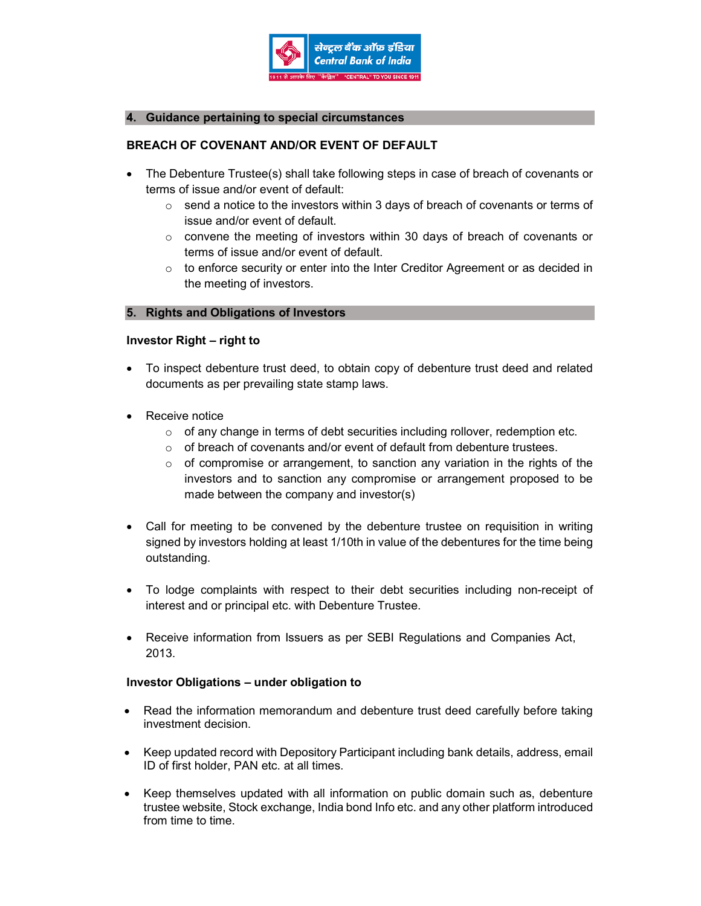

#### 4. Guidance pertaining to special circumstances

## BREACH OF COVENANT AND/OR EVENT OF DEFAULT

- The Debenture Trustee(s) shall take following steps in case of breach of covenants or terms of issue and/or event of default:
	- $\circ$  send a notice to the investors within 3 days of breach of covenants or terms of issue and/or event of default.
	- o convene the meeting of investors within 30 days of breach of covenants or terms of issue and/or event of default.
	- $\circ$  to enforce security or enter into the Inter Creditor Agreement or as decided in the meeting of investors.

#### 5. Rights and Obligations of Investors

#### Investor Right – right to

- To inspect debenture trust deed, to obtain copy of debenture trust deed and related documents as per prevailing state stamp laws.
- Receive notice
	- $\circ$  of any change in terms of debt securities including rollover, redemption etc.
	- o of breach of covenants and/or event of default from debenture trustees.
	- $\circ$  of compromise or arrangement, to sanction any variation in the rights of the investors and to sanction any compromise or arrangement proposed to be made between the company and investor(s)
- Call for meeting to be convened by the debenture trustee on requisition in writing signed by investors holding at least 1/10th in value of the debentures for the time being outstanding.
- To lodge complaints with respect to their debt securities including non-receipt of interest and or principal etc. with Debenture Trustee.
- Receive information from Issuers as per SEBI Regulations and Companies Act, 2013.

#### Investor Obligations – under obligation to

- Read the information memorandum and debenture trust deed carefully before taking investment decision.
- Keep updated record with Depository Participant including bank details, address, email ID of first holder, PAN etc. at all times.
- Keep themselves updated with all information on public domain such as, debenture trustee website, Stock exchange, India bond Info etc. and any other platform introduced from time to time.